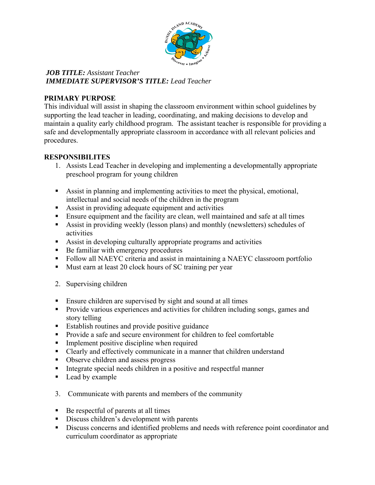

### *JOB TITLE: Assistant Teacher IMMEDIATE SUPERVISOR'S TITLE: Lead Teacher*

## **PRIMARY PURPOSE**

This individual will assist in shaping the classroom environment within school guidelines by supporting the lead teacher in leading, coordinating, and making decisions to develop and maintain a quality early childhood program. The assistant teacher is responsible for providing a safe and developmentally appropriate classroom in accordance with all relevant policies and procedures.

# **RESPONSIBILITES**

- 1. Assists Lead Teacher in developing and implementing a developmentally appropriate preschool program for young children
- Assist in planning and implementing activities to meet the physical, emotional, intellectual and social needs of the children in the program
- Assist in providing adequate equipment and activities
- Ensure equipment and the facility are clean, well maintained and safe at all times
- Assist in providing weekly (lesson plans) and monthly (newsletters) schedules of activities
- Assist in developing culturally appropriate programs and activities
- Be familiar with emergency procedures
- Follow all NAEYC criteria and assist in maintaining a NAEYC classroom portfolio
- Must earn at least 20 clock hours of SC training per year
- 2. Supervising children
- **Ensure children are supervised by sight and sound at all times**
- **Provide various experiences and activities for children including songs, games and** story telling
- Establish routines and provide positive guidance
- Provide a safe and secure environment for children to feel comfortable
- **Implement positive discipline when required**
- Clearly and effectively communicate in a manner that children understand
- Observe children and assess progress
- Integrate special needs children in a positive and respectful manner
- Lead by example
- 3. Communicate with parents and members of the community
- Be respectful of parents at all times
- Discuss children's development with parents
- Discuss concerns and identified problems and needs with reference point coordinator and curriculum coordinator as appropriate